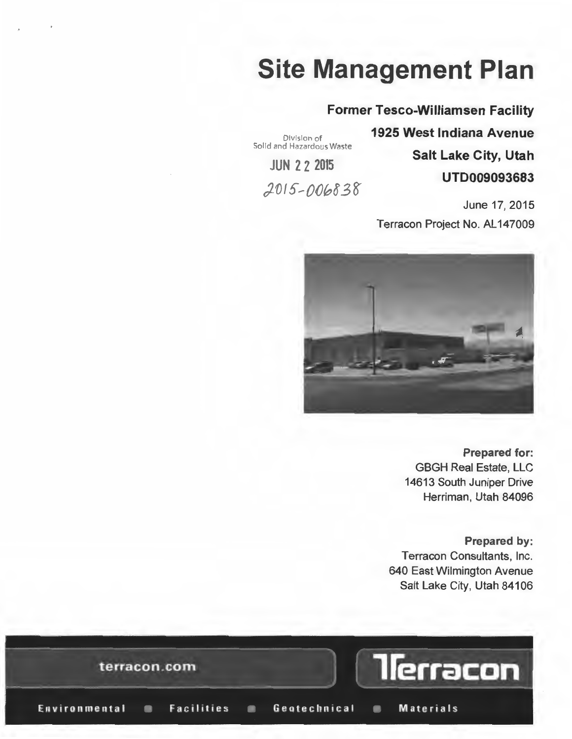## **Site Management Plan**

#### **Former Tesco-Williamsen Facility**

Division of Solid and Hazardous Waste

**JUN 2 2 2015** 

2015-006838

**1925 West Indiana Avenue Salt Lake City, Utah UTD009093683** 

June 17, 2015 Terracon Project No. AL 147009



**Prepared for:**  GBGH Real Estate, LLC 14613 South Juniper Drive Herriman, Utah 84096

**Prepared by:**  Terracon Consultants, Inc. 640 East Wilmington Avenue Salt Lake City, Utah 84106

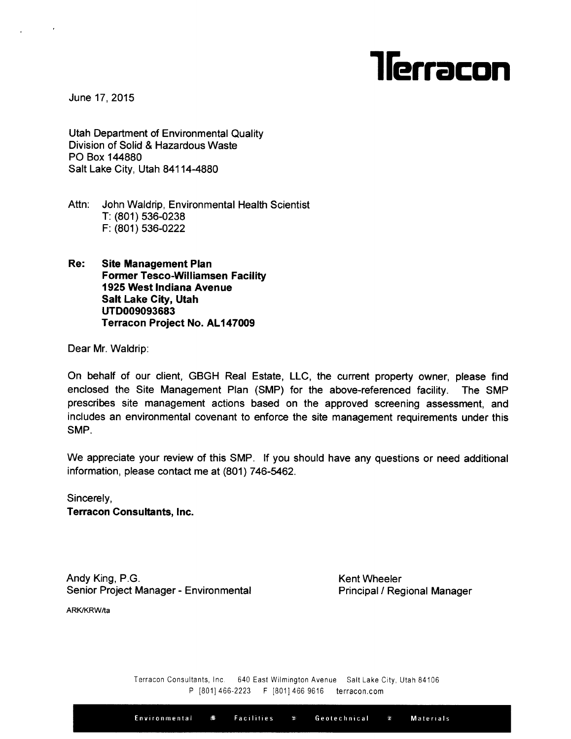# llerracon

June 17.2015

Utah Department of Environmental Quality Division of Solid & Hazardous Waste PO Box 144880 Salt Lake City, Utah 84114-4880

Attn: John Waldrip, Environmental Health Scientist T: (801) 536-0238 F: (801) 536-0222

Re: Site Management Plan **Former Tesco-Williamsen Facility** 1925 West Indiana Avenue Salt Lake City, Utah uTD009093683 Terracon Proiect No. AL147009

Dear Mr. Waldrip:

On behalf of our client, GBGH Real Estate, LLC, the current property owner, please find enclosed the Site Management Plan (SMP) for the above-referenced facility. The SMP prescribes site management actions based on the approved screening assessment, and includes an environmental covenant to enforce the site management requirements under this SMP.

We appreciate your review of this SMP. If you should have any questions or need additiona information, please contact me at (801) 746-5462.

Sincerely, Terracon Consultants, lnc.

Andy King, P.G. Senior Project Manager - Environmental

Kent Wheeler Principal / Regional Manager

ARK/KRW/ta

Terracon Consultants, Inc. 640 East Wilmington Avenue Salt Lake City, Utah 84106 P [801] 466-2223 F [801] 466 9616 terracon.com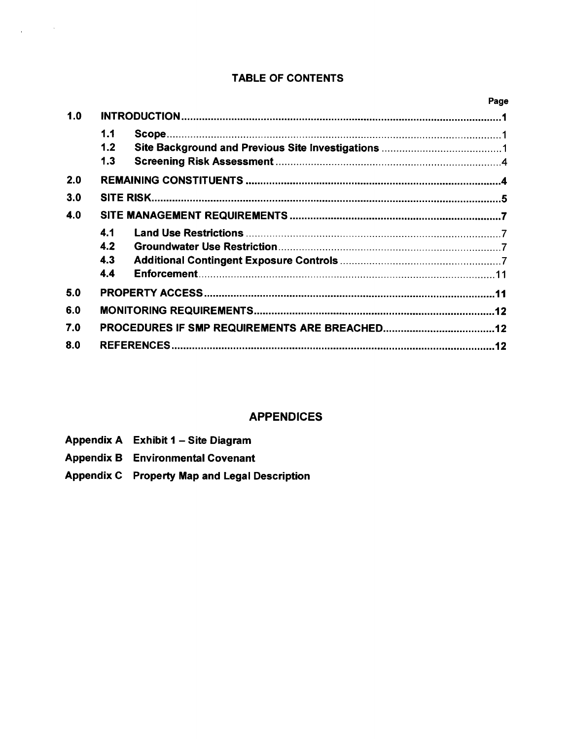#### TABLE OF CONTENTS

| 1.1 |     |  |  |  |  |
|-----|-----|--|--|--|--|
| 1.2 |     |  |  |  |  |
| 1.3 |     |  |  |  |  |
|     |     |  |  |  |  |
|     | 3.0 |  |  |  |  |
|     | 4.0 |  |  |  |  |
| 4.1 |     |  |  |  |  |
| 4.2 |     |  |  |  |  |
| 4.3 |     |  |  |  |  |
| 4.4 |     |  |  |  |  |
|     |     |  |  |  |  |
|     | 6.0 |  |  |  |  |
|     |     |  |  |  |  |
|     | 8.0 |  |  |  |  |
|     |     |  |  |  |  |
|     |     |  |  |  |  |

#### APPENDICES

Appendix A Exhibit 1 - Site Diagram

 $\label{eq:2.1} \frac{1}{4}\left(\frac{1}{\sqrt{2}}\right)^{2} \left(\frac{1}{\sqrt{2}}\right)^{2} \left(\frac{1}{\sqrt{2}}\right)^{2}$ 

- Appendix B Environmental Covenant
- Appendix G Property Map and Legal Description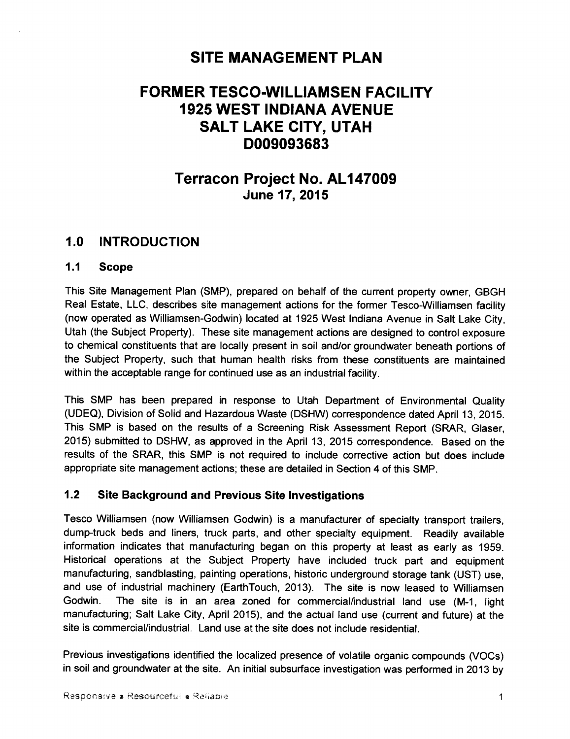### SITE MANAGEMENT PLAN

### FORMER TESCO-WILLIAMSEN FACILITY 1925 WEST INDIANA AVENUE SALT LAKE CITY, UTAH D009093683

### Terracon Project No. ALl47009 June 17,2015

#### 1.0 INTRODUCTION

#### 1.1 Scope

This Site Management Plan (SMP), prepared on behalf of the current property owner, GBGH Real Estate, LLC, describes site management actions for the former Tesco-Williamsen facility (now operated as Williamsen-Godwin) located at 1925 West Indiana Avenue in Salt Lake City, Utah (the Subject Property). These site management actions are designed to control exposure to chemical constituents that are locally present in soil and/or groundwater beneath portions of the Subject Property, such that human health risks from these constituents are maintained within the acceptable range for continued use as an industrial facility.

This SMP has been prepared in response to Utah Department of Environmental Quality (UDEQ), Division of Solid and Hazardous Waste (DSHW) correspondence dated April 13, 2015. This SMP is based on the results of a Screening Risk Assessment Report (SRAR, Glaser, 2015) submitted to DSHW, as approved in the April 13, 2015 correspondence. Based on the results of the SRAR, this SMP is not required to include corrective action but does include appropriate site management actions; these are detailed in Section 4 of this SMP.

#### 1.2 Site Background and Previous Site Investigations

Tesco Williamsen (now Williamsen Godwin) is a manufacturer of specialty transport trailers, dump-truck beds and liners, truck parts, and other specialty equipment. Readily available information indicates that manufacturing began on this property at least as early as 1959. Historical operations at the Subject Property have included truck part and equipment manufacturing, sandblasting, painting operations, historic underground storage tank (UST) use, and use of industrial machinery (EarthTouch,2013). The site is now leased to Williamsen Godwin. The site is in an area zoned for commercial/industrial land use (M-1, light manufacturing; Salt Lake City, April 2015), and the actual land use (current and future) at the site is commercial/industrial. Land use at the site does not include residential.

Previous investigations identified the localized presence of volatile organic compounds (VOCs) in soil and groundwater at the site. An initial subsurface investigation was performed in 2013 by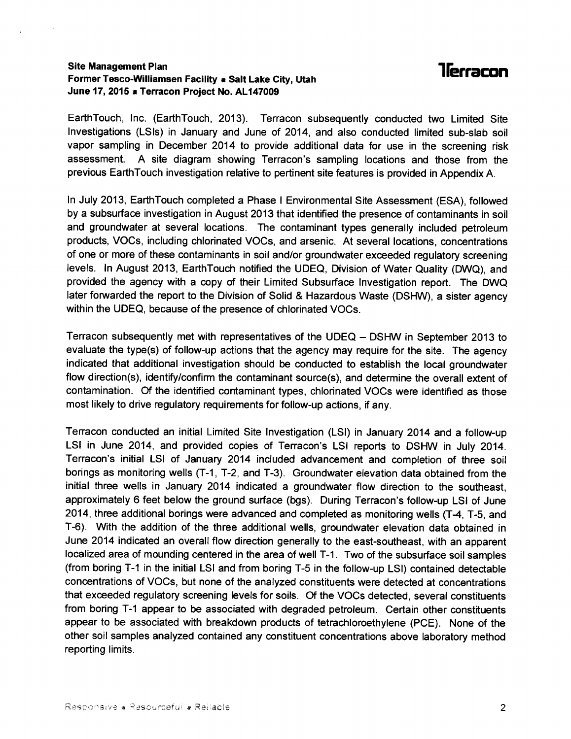#### Site Management Plan Former Tesco-Williamsen Facility . Salt Lake City, Utah June 17, 2015 a Terracon Project No. AL147009

### **llerracon**

EarthTouch, Inc. (EarthTouch, 2013). Terracon subsequently conducted two Limited Site lnvestigations (LSls) in January and June of 2014, and also conducted limited sub-slab soil vapor sampling in December 2014 to provide additional data for use in the screening risk assessment. A site diagram showing Terracon's sampling locations and those from the previous EarthTouch investigation relative to pertinent site features is provided in Appendix A.

ln July 2013, EarthTouch completed a Phase I Environmental Site Assessment (ESA), followed by a subsurface investigation in August 2013 that identified the presence of contaminants in soil and groundwater at several locations. The contaminant types generally included petroleum products, VOCs, including chlorinated VOCs, and arsenic. At several locations, concentrations of one or more of these contaminants in soil and/or groundwater exceeded regulatory screening levels. In August 2013, EarthTouch notified the UDEQ, Division of Water Quality (DWQ), and provided the agency with a copy of their Limited Subsurface lnvestigation report. The DWQ later forwarded the report to the Division of Solid & Hazardous Waste (DSHW), a sister agency within the UDEQ, because of the presence of chlorinated VOCs.

Terracon subsequently met with representatives of the UDEQ - DSHW in September 2013 to evaluate the type(s) of follow-up actions that the agency may require for the site. The agency indicated that additional investigation should be conducted to establish the local groundwater flow direction(s), identify/confirm the contaminant source(s), and determine the overall extent of contamination. Of the identified contaminant types, chlorinated VOCs were identified as those most likely to drive regulatory requirements for follow-up actions, if any.

Tenacon conducted an initial Limited Site lnvestigation (LSl) in January 2014 and a follow-up LSI in June 2014, and provided copies of Terracon's LSI reports to DSHW in July 2014. Tenacon's initial LSI of January 2014 included advancement and completion of three soil borings as monitoring wells (T-1, T-2, and T-3). Groundwater elevation data obtained from the initial three wells in January 2014 indicated a groundwater flow direction to the southeast, approximately 6 feet below the ground surface (bgs). During Teracon's follow-up LSI of June 2014, three additional borings were advanced and completed as monitoring wells (T-4, T-5, and T-6). With the addition of the three additional wells, groundwater elevation data obtained in June 2014 indicated an overall flow direction generally to the east-southeast, with an apparent localized area of mounding centered in the area of well T-1. Two of the subsurface soil samples (from boring T-1 in the initial LSI and from boring T-5 in the follow-up LSI) contained detectable concentrations of VOCs, but none of the analyzed constituents were detected at concentrations that exceeded regulatory screening levels for soils. Of the VOCs detected, several constituents from boring T-1 appear to be associated with degraded petroleum. Certain other constituents appear to be associated with breakdown products of tetrachloroethylene (PCE). None of the other soil samples analyzed contained any constituent concentrations above laboratory method reporting limits.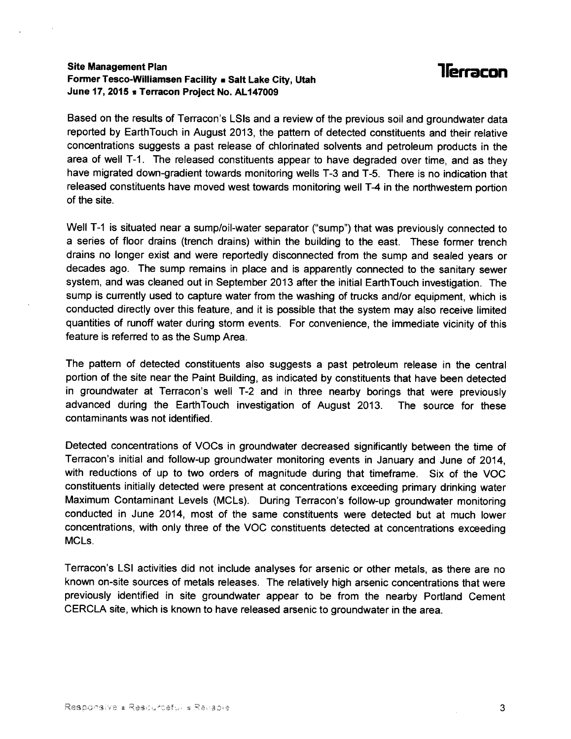#### Site Management Plan Former Tesco-Williamsen Facility a Salt Lake City, Utah June 17, 2015 **\*** Terracon Project No. AL147009

### **Terracon**

Based on the results of Terracon's LSIs and a review of the previous soil and groundwater data reported by EarthTouch in August 2013, the pattern of detected constituents and their relative concentrations suggests a past release of chlorinated solvents and petroleum products in the area of well T-1. The released constituents appear to have degraded over time, and as they have migrated down-gradient towards monitoring wells T-3 and T-5. There is no indication that released constituents have moved west towards monitoring well T-4 in the northwestem portion of the site.

Well T-1 is situated near a sump/oil-water separator ("sump") that was previously connected to a series of floor drains (trench drains) within the building to the east. These former trench drains no longer exist and were reportedly disconnected from the sump and sealed years or decades ago. The sump remains in place and is apparently connected to the sanitary sewer system, and was cleaned out in September 2Q13 after the initial EarthTouch investigation. The sump is currently used to capture water from the washing of trucks and/or equipment, which is conducted directly over this feature, and it is possible that the system may also receive limited quantities of runoff water during storm events. For convenience, the immediate vicinity of this feature is referred to as the Sump Area.

The pattem of detected constituents also suggests a past petroleum release in the central portion of the site near the Paint Building, as indicated by constituents that have been detected in groundwater at Terracon's well T-2 and in three nearby borings that were previously advanced during the EarthTouch investigation of August 2013. The source for these contaminants was not identified.

Detected concentrations of VOCs in groundwater decreased significantly between the time of Terracon's initial and follow-up groundwater monitoring events in January and June of 2Q14, with reductions of up to two orders of magnitude during that timeframe. Six of the VOC constituents initially detected were present at concentrations exceeding primary drinking water Maximum Contaminant Levels (MCLs). During Terracon's follow-up groundwater monitoring conducted in June 2014, most of the same constituents were detected but at much lower concentrations, with only three of the VOC constituents detected at concentrations exceeding MCLs.

Terracon's LSI activities did not include analyses for arsenic or other metals, as there are no known on-site sources of metals releases. The relatively high arsenic concentrations that were previously identified in site groundwater appear to be from the nearby Portland Cement CERCLA site, which is known to have released arsenic to groundwater in the area.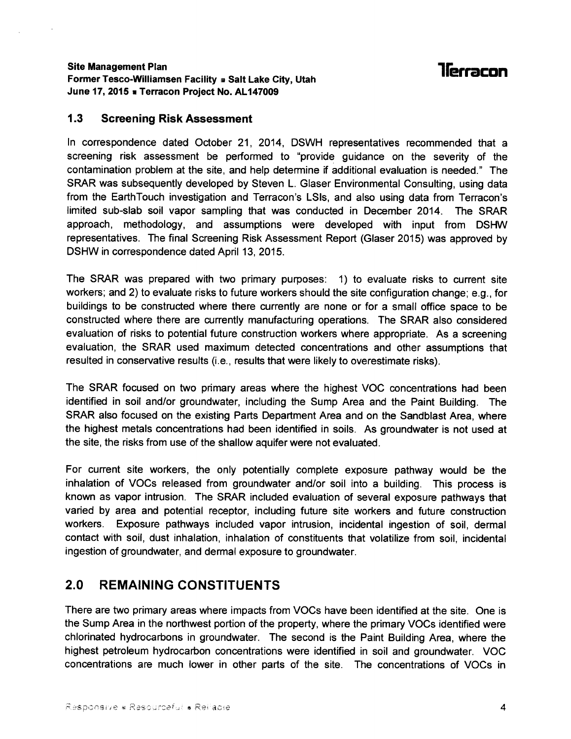#### Site Management Plan Former Tesco-Williamsen Facility # Salt Lake City, Utah June 17, 2015 **a** Terracon Project No. AL147009

### 1leracon

#### 1.3 Screening Risk Assessment

ln correspondence dated October 21,2014, DSWH representatives recommended that <sup>a</sup> screening risk assessment be performed to "provide guidance on the severity of the contamination problem at the site, and help determine lf additional evaluation is needed." The SRAR was subsequently developed by Steven L. Glaser Environmental Consulting, using data from the EarthTouch investigation and Terracon's LSls, and also using data from Terracon's limited sub-slab soil vapor sampling that was conducted in December 2014. The SRAR approach, methodology, and assumptions were developed with input from DSHW representatives. The final Screening Risk Assessment Report (Glaser 2015) was approved by DSHW in correspondence dated April 13, 2015.

The SRAR was prepared with two primary purposes: 1) to evaluate risks to current site workers; and 2) to evaluate risks to future workers should the site configuration change; e.9., for buildings to be constructed where there currently are none or for a small office space to be constructed where there are currently manufacturing operations. The SRAR also considered evaluation of risks to potential future construction workers where appropriate. As a screening evaluation, the SRAR used maximum detected concentrations and other assumptions that resulted in conservative results (i.e., results that were likely to overestimate risks).

The SRAR focused on two primary areas where the highest VOC concentrations had been identified in soil and/or groundwater, including the Sump Area and the Paint Building. The SRAR also focused on the existing Parts Department Area and on the Sandblast Area, where the highest metals concentrations had been identified in soils. As groundwater is not used at the site, the risks from use of the shallow aquifer were not evaluated.

For cunent site workers, the only potentially complete exposure pathway would be the inhalation of VOCs released from groundwater and/or soil into a building. This process is known as vapor intrusion. The SRAR included evaluation of several exposure pathways that varied by area and potential receptor, including future site workers and future construction workers. Exposure pathways included vapor intrusion, incidental ingestion of soil, dermal contact with soil, dust inhalation, inhalation of constituents that volatilize from soil. incidental ingestion of groundwater, and dermal exposure to groundwater.

#### 2.0 REMAINING CONSTITUENTS

There are two primary areas where impacts from VOCs have been identified at the site. One is the Sump Area in the northwest portion of the property, where the primary VOCs identified were chlorinated hydrocarbons in groundwater. The second is the Paint Building Area, where the highest petroleum hydrocarbon concentrations were identified in soil and groundwater. VOC concentrations are much lower in other parts of the site. The concentrations of VOCs in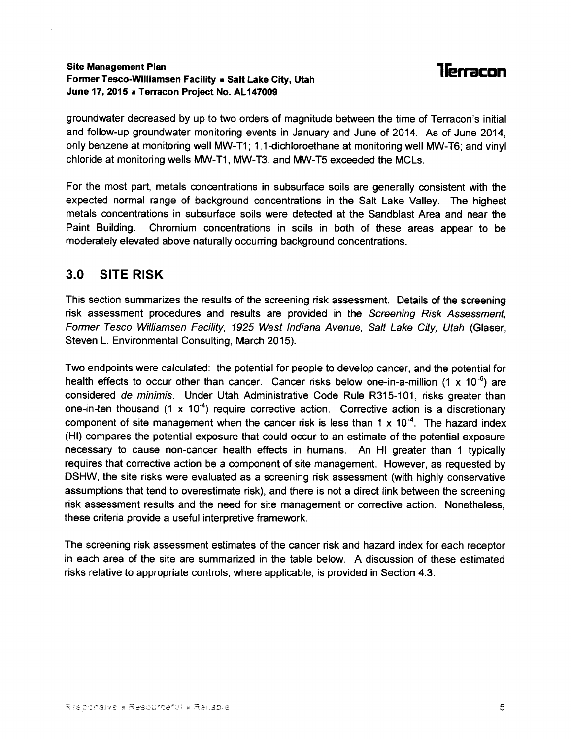#### Site Management Plan Former Tesco-Williamsen Facility a Salt Lake City, Utah June 17, 2015 a Terracon Project No. AL147009

### **1** lerracon

groundwater decreased by up to two orders of magnitude between the time of Terracon's initial and follow-up groundwater monitoring events in January and June of 2014. As of June 2014, only benzene at monitoring well MW-T1; 1,1-dichloroethane at monitoring well MW-T6; and vinyl chloride at monitoring wells MW-T1, MW-T3, and MW-TS exceeded the MCLs.

For the most part, metals concentrations in subsurface soils are generally consistent with the expected normal range of background concentrations in the Salt Lake Valley. The highest metals concentrations in subsurface soils were detected at the Sandblast Area and near the Paint Building. Chromium concentrations in soils in both of these areas appear to be moderately elevated above naturally occurring background concentrations.

#### 3.0 SITE RISK

This section summarizes the results of the screening risk assessment. Details of the screening risk assessment procedures and results are provided in the Screening Risk Assessmenf, Former Tesco Williamsen Facility, 1925 West Indiana Avenue, Salt Lake City, Utah (Glaser, Steven L. Environmental Consulting, March 2015).

Two endpoints were calculated: the potential for people to develop cancer, and the potential for health effects to occur other than cancer. Cancer risks below one-in-a-million  $(1 \times 10^{-6})$  are considered de minimis. Under Utah Administrative Code Rule R315-101, risks greater than one-in-ten thousand (1 x 10<sup>-4</sup>) require corrective action. Corrective action is a discretionary component of site management when the cancer risk is less than 1 x 10<sup>-4</sup>. The hazard index (Hl) compares the potential exposure that could occur to an estimate of the potential exposure necessary to cause non-cancer health effects in humans. An Hl greater than 1 typically requires that corrective action be a component of site management. However, as requested by DSHW, the site risks were evaluated as a screening risk assessment (with highly conservative assumptions that tend to overestimate risk), and there is not a direct link between the screening risk assessment results and the need for site management or corrective action. Nonetheless, these criteria provide a useful interpretive framework.

The screening risk assessment estimates of the cancer risk and hazard index for each receptor in each area of the site are summarized in the table below. A discussion of these estimated risks relative to appropriate controls, where applicable, is provided in Section 4.3.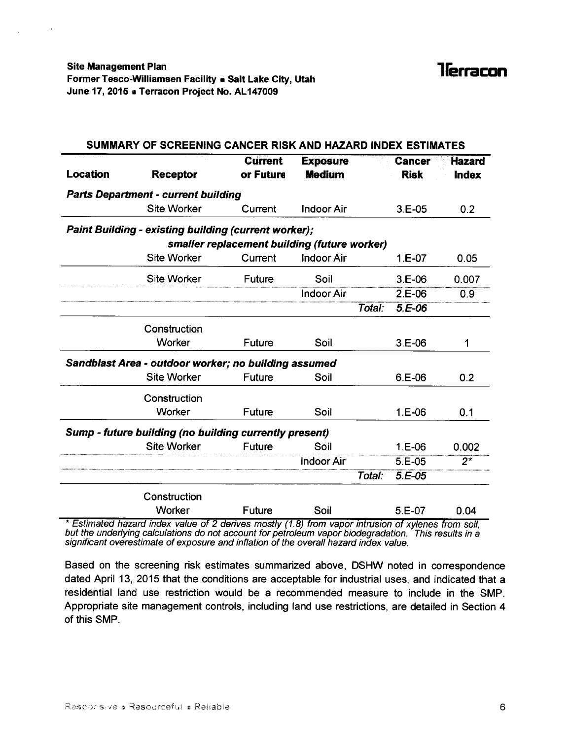$\mathbf{r}$ 

| SUMMARY OF SCREENING CANCER RISK AND HAZARD INDEX ESTIMATES |                                                             |                                              |                   |        |               |               |  |  |
|-------------------------------------------------------------|-------------------------------------------------------------|----------------------------------------------|-------------------|--------|---------------|---------------|--|--|
|                                                             |                                                             | <b>Current</b>                               | <b>Exposure</b>   |        | <b>Cancer</b> | <b>Hazard</b> |  |  |
| Location                                                    | <b>Receptor</b>                                             | or Future                                    | <b>Medium</b>     |        | <b>Risk</b>   | <b>Index</b>  |  |  |
|                                                             | <b>Parts Department - current building</b>                  |                                              |                   |        |               |               |  |  |
|                                                             | <b>Site Worker</b>                                          | Current                                      | <b>Indoor Air</b> |        | $3.E-05$      | 0.2           |  |  |
|                                                             | <b>Paint Building - existing building (current worker);</b> |                                              |                   |        |               |               |  |  |
|                                                             |                                                             | smaller replacement building (future worker) |                   |        |               |               |  |  |
|                                                             | <b>Site Worker</b>                                          | Current                                      | <b>Indoor Air</b> |        | $1.E-07$      | 0.05          |  |  |
|                                                             | <b>Site Worker</b>                                          | Future                                       | Soil              |        | $3.E-06$      | 0.007         |  |  |
|                                                             |                                                             |                                              | <b>Indoor Air</b> |        | $2.E-06$      | 0.9           |  |  |
|                                                             |                                                             |                                              |                   | Total: | 5.E-06        |               |  |  |
|                                                             | Construction                                                |                                              |                   |        |               |               |  |  |
|                                                             | Worker                                                      | Future                                       | Soil              |        | $3.E-06$      | 1             |  |  |
|                                                             | Sandblast Area - outdoor worker; no building assumed        |                                              |                   |        |               |               |  |  |
|                                                             | <b>Site Worker</b>                                          | <b>Future</b>                                | Soil              |        | $6.E-06$      | 0.2           |  |  |
|                                                             | Construction                                                |                                              |                   |        |               |               |  |  |
|                                                             | Worker                                                      | <b>Future</b>                                | Soil              |        | $1.E-06$      | 0.1           |  |  |
|                                                             | Sump - future building (no building currently present)      |                                              |                   |        |               |               |  |  |
|                                                             | <b>Site Worker</b>                                          | Future                                       | Soil              |        | $1.E-06$      | 0.002         |  |  |
|                                                             |                                                             |                                              | <b>Indoor Air</b> |        | $5.E-05$      | $2^{\star}$   |  |  |
|                                                             |                                                             |                                              |                   | Total: | $5.E-05$      |               |  |  |
|                                                             | Construction                                                |                                              |                   |        |               |               |  |  |
|                                                             | Worker                                                      | <b>Future</b>                                | Soil              |        | $5.E-07$      | 0.04          |  |  |

\* Estimated hazard index value of 2 derives mostly (1.8) from vapor intrusion of xylenes from soil, but the underlying calculations do not account for petroleum vapor biodegradation. This results in a significant overestimate of exposure and inflation of the overall hazard index value.

Based on the screening risk estimates summarized above, DSHW noted in correspondence dated April 13, 2015 that the conditions are acceptable for industrial uses, and indicated that a residential land use restriction would be a recommended measure to include in the SMP. Appropriate site management controls, including land use restrictions, are detailed in Section 4 of this SMP.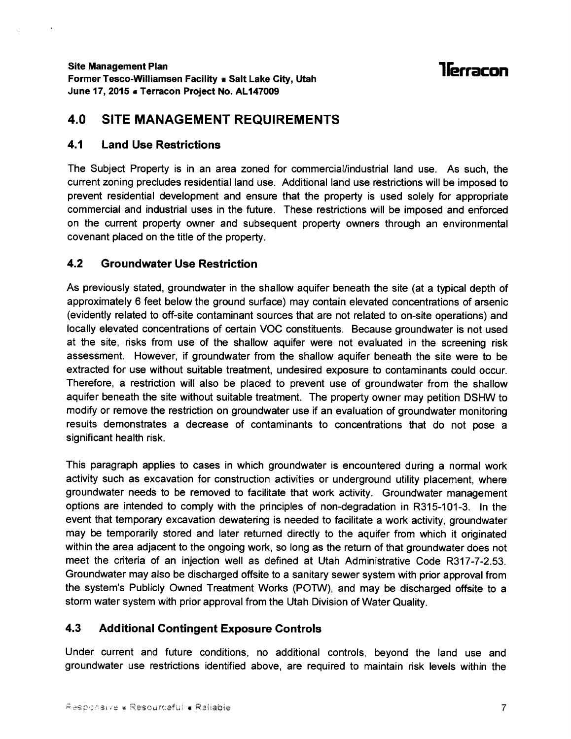### llerracon

#### 4.0 SITE MANAGEMENT REQUIREMENTS

#### 4.1 Land Use Restrictions

The Subject Property is in an area zoned for commercial/industrial land use. As such, the current zoning precludes residential land use. Additional land use restrictions will be imposed to prevent residential development and ensure that the property is used solely for appropriate commercial and industrial uses in the future. These restrictions will be imposed and enforced on the current property owner and subsequent property owners through an environmental covenant placed on the title of the property.

#### 4.2 Groundwater Use Restriction

As previously stated, groundwater in the shallow aquifer beneath the site (at a typical depth of approximately 6 feet below the ground surface) may contain elevated concentrations of arsenic (evidently related to off-site contaminant sources that are not related to on-site operations) and locally elevated concentrations of certain VOC constituents. Because groundwater is not used at the site, risks from use of the shallow aquifer were not evaluated in the screening risk assessment. However, if groundwater from the shallow aquifer beneath the site were to be extracted for use without suitable treatment, undesired exposure to contaminants could occur. Therefore, a restriction will also be placed to prevent use of groundwater from the shallow aquifer beneath the site without suitable treatment. The property owner may petition DSHW to modify or remove the restriction on groundwater use if an evaluation of groundwater monitoring results demonstrates a decrease of contaminants to concentrations that do not pose <sup>a</sup> significant health risk.

This paragraph applies to cases in which groundwater is encountered during a normal work activity such as excavation for construction activities or underground utility placement, where groundwater needs to be removed to facilitate that work activity. Groundwater management options are intended to comply with the principles of non-degradation in R315-101-3. In the event that temporary excavation dewatering is needed to facilitate a work activity, groundwater may be temporarily stored and later returned directly to the aquifer from which it originated within the area adjaoent to the ongoing work, so long as the return of that groundwater does not meet the criteria of an injection well as defined at Utah Administrative Code R317-7-2.53. Groundwater may also be discharged offsite to a sanitary sewer system with prior approvalfrom the system's Publicly Owned Treatment Works (POTW), and may be discharged offsite to a storm water system with prior approval from the Utah Division of Water Quality.

#### 4.3 Additional Contingent Exposure Gontrols

Under current and future conditions, no additional controls, beyond the land use and groundwater use restrictions identified above, are required to maintain risk levels within the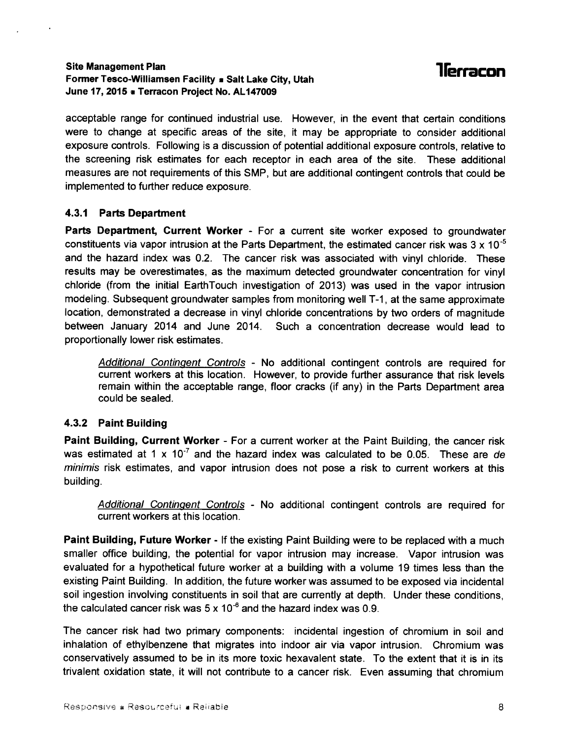#### Site Management Plan Former Tesco-Williamsen Facility a Salt Lake City, Utah June 17, 2015 . Terracon Project No. AL147009

acceptable range for continued industrial use. However, in the event that certain conditions were to change at specific areas of the site, it may be appropriate to consider additional exposure controls. Following is a discussion of potential additional exposure controls, relative to the screening risk estimates for each receptor in each area of the site. These additional measures are not requirements of this SMP, but are additional contingent controls that could be implemented to further reduce exposure.

#### 4.3.1 Parts Department

Parts Department, Current Worker - For a current site worker exposed to groundwater constituents via vapor intrusion at the Parts Department, the estimated cancer risk was  $3 \times 10^{-5}$ and the hazard index was 0.2. The cancer risk was associated with vinyl chloride. These results may be overestimates, as the maximum detected groundwater concentration for vinyl chloride (from the initial EarthTouch investigation of 2013) was used in the vapor intrusion modeling. Subsequent groundwater samples from monitoring well T-1, at the same approximate location, demonstrated a decrease in vinyl chloride concentrations by two orders of magnitude between January 2014 and June 2014. Such a concentration decrease would lead to proportionally lower risk estimates.

Additional Contingent Controls - No additional contingent controls are required for current workers at this location. However, to provide further assurance that risk levels remain within the acceptable range, floor cracks (if any) in the Parts Department area could be sealed.

#### 4.3.2 Paint Building

Paint Building, Gurrent Worker - For a cunent worker at the Paint Building, the cancer risk was estimated at 1 x  $10^{-7}$  and the hazard index was calculated to be 0.05. These are de minimis risk estimates, and vapor intrusion does not pose a risk to current workers at this building.

Additional Contingent Controls - No additional contingent controls are required for current workers at this location.

Paint Building, Future Worker - lf the existing Paint Building were to be replaced with a much smaller office building, the potential for vapor intrusion may increase. Vapor intrusion was evaluated for a hypothetical future worker at a building with a volume 19 times less than the existing Paint Building. In addition, the future worker was assumed to be exposed via incidental soil ingestion involving constituents in soil that are currently at depth. Under these conditions, the calculated cancer risk was  $5 \times 10^{-6}$  and the hazard index was 0.9.

The cancer risk had two primary components: incidental ingestion of chromium in soil and inhalation of ethylbenzene that migrates into indoor air via vapor intrusion. Chromium was conservatively assumed to be in its more toxic hexavalent state. To the extent that it is in its trivalent oxidation state, it will not contribute to a cancer risk. Even assuming that chromium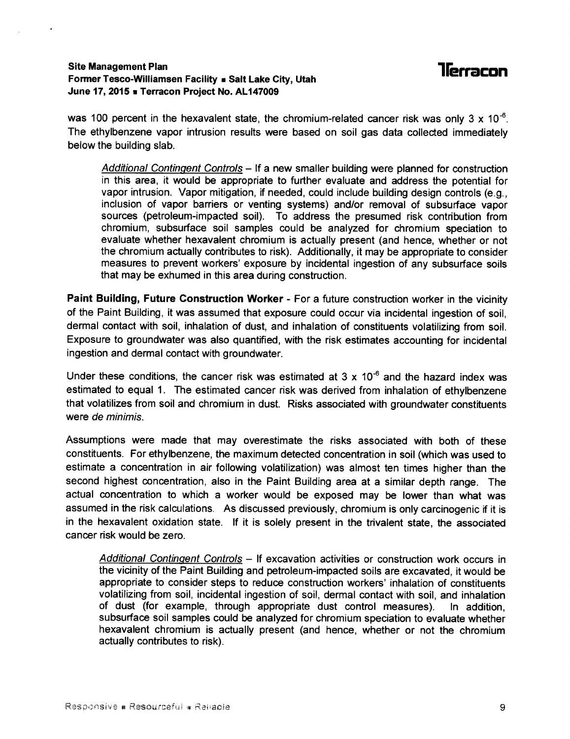### **Tlerracon**

#### Site Management Plan Former Tesco-Williamsen Facility **E** Salt Lake City, Utah June 17, 2015 **a Terracon Project No. AL147009**

was 100 percent in the hexavalent state, the chromium-related cancer risk was only 3 x 10<sup>-6</sup>. The ethylbenzene vapor intrusion results were based on soil gas data collected immediately below the building slab.

Additional Contingent Controls – If a new smaller building were planned for construction in this area, it would be appropriate to further evaluate and address the potential for vapor intrusion. Vapor mitigation, if needed, could include building design controls (e.9., inclusion of vapor barriers or venting systems) and/or removal of subsurface vapor sources (petroleum-impacted soil). To address the presumed risk contribution from chromium, subsurface soil samples could be analyzed for chromium speciation to evaluate whether hexavalent chromium is actually present (and hence, whether or not the chromium actually contributes to risk). Additionally, it may be appropriate to consider measures to prevent workers' exposure by incidental ingestion of any subsurface soils that may be exhumed in this area during construction.

Paint Building, Future Construction Worker - For a future construction worker in the vicinity of the Paint Building, it was assumed that exposure could occur via incidental ingestion of soil, dermal contact with soil, inhalation of dust, and inhalation of constituents volatilizing from soil. Exposure to groundwater was also quantified, with the risk estimates accounting for incidental ingestion and dermal contact with groundwater.

Under these conditions, the cancer risk was estimated at 3 x 10<sup>-6</sup> and the hazard index was estimated to equal 1. The estimated cancer risk was derived from inhalation of ethylbenzene that volatilizes from soil and chromium in dust. Risks associated with groundwater constituents were de minimis.

Assumptions were made that may overestimate the risks associated with both of these constituents. For ethylbenzene, the maximum detected concentration in soil (which was used to estimate a concentration in air following volatilization) was almost ten times higher than the second highest concentration, also in the Paint Building area at a similar depth range. The actual concentration to which a worker would be exposed may be lower than what was assumed in the risk calculations. As discussed previously, chromium is only carcinogenic if it is in the hexavalent oxidation state. lf it is solely present in the trivalent state, the associated cancer risk would be zero.

Additional Contingent Controls - If excavation activities or construction work occurs in the vicinity of the Paint Building and petroleum-impacted soils are excavated, it would be appropriate to consider steps to reduce construction workers' inhalation of constituents volatilizing from soil, incidental ingestion of soil, dermal contact with soil, and inhalation of dust (for example, through appropriate dust control measures). In addition, subsurface soil samples could be analyzed for chromium speciation to evaluate whether hexavalent chromium is actually present (and hence, whether or not the chromium actually contributes to risk).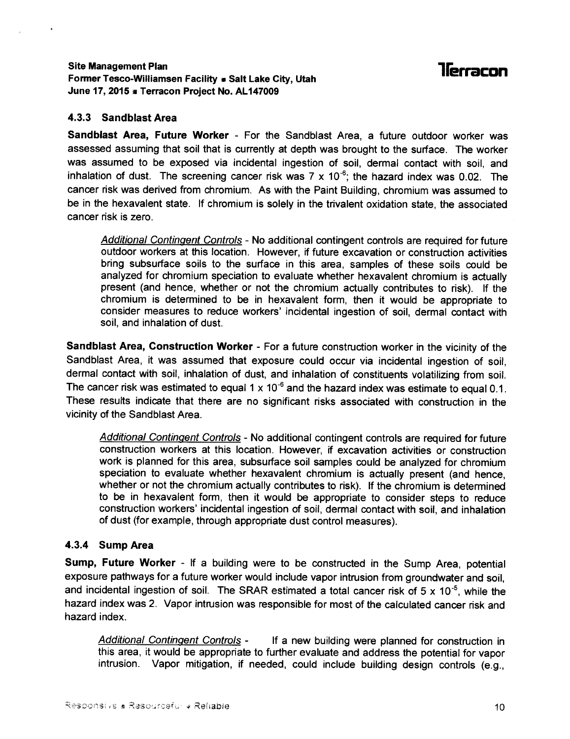#### Site Management Plan Former Tesco-Williamsen Facility . Salt Lake City, Utah June 17, 2015 # Terracon Proiect No. AL147009

### **llerracon**

#### 4.3.3 Sandblast Area

Sandblast Area, Future Worker - For the Sandblast Area, a future outdoor worker was assessed assuming that soil that is currently at depth was brought to the surface. The worker was assumed to be exposed via incidental ingestion of soil, dermal contact with soil, and inhalation of dust. The screening cancer risk was  $7 \times 10^{-6}$ ; the hazard index was 0.02. The cancer risk was derived from chromium. As with the Paint Building, chromium was assumed to be in the hexavalent state. lf chromium is solely in the trivalent oxidation state, the associated cancer risk is zero.

Additional Contingent Controls - No additional contingent controls are required for future outdoor workers at this location. However, if future excavation or construction activities bring subsurface soils to the surface in this area, samples of these soils could be analyzed for chromium speciation to evaluate whether hexavalent chromium is actually present (and hence, whether or not the chromium actually contributes to risk). lf the chromium is determined to be in hexavalent form, then it would be appropriate to consider measures to reduce workers' incidental ingestion of soil, dermal contact with soil. and inhalation of dust.

Sandblast Area, Construction Worker - For a future construction worker in the vicinity of the Sandblast Area, it was assumed that exposure could occur via incidental ingestion of soil, dermal contact with soil, inhalation of dust, and inhalation of constituents volatilizing from soil. The cancer risk was estimated to equal 1 x 10<sup>-6</sup> and the hazard index was estimate to equal 0.1. These results indicate that there are no significant risks associated with construction in the vicinity of the Sandblast Area.

Additional Contingent Controls - No additional contingent controls are required for future construction workers at this location. However, if excavation activities or construction work is planned for this area, subsurface soil samples could be analyzed for chromium speciation to evaluate whether hexavalent chromium is actually present (and hence, whether or not the chromium actually contributes to risk). lf the chromium is determined to be in hexavalent form, then it would be appropriate to consider steps to reduce construction workers' incidental ingestion of soil, dermal contact with soil, and inhalation of dust (for example, through appropriate dust control measures).

#### 4.3.4 Sump Area

Sump, Future Worker - If a building were to be constructed in the Sump Area, potential exposure pathways for a future worker would include vapor intrusion from groundwater and soil, and incidental ingestion of soil. The SRAR estimated a total cancer risk of 5 x 10<sup>-5</sup>, while the hazard index was 2. Vapor intrusion was responsible for most of the calculated cancer risk and hazard index.

Additional Contingent Controls - If a new building were planned for construction in this area, it would be appropriate to further evaluate and address the potential for vapor intrusion. Vapor mitigation, if needed, could include building design controls (e.g.,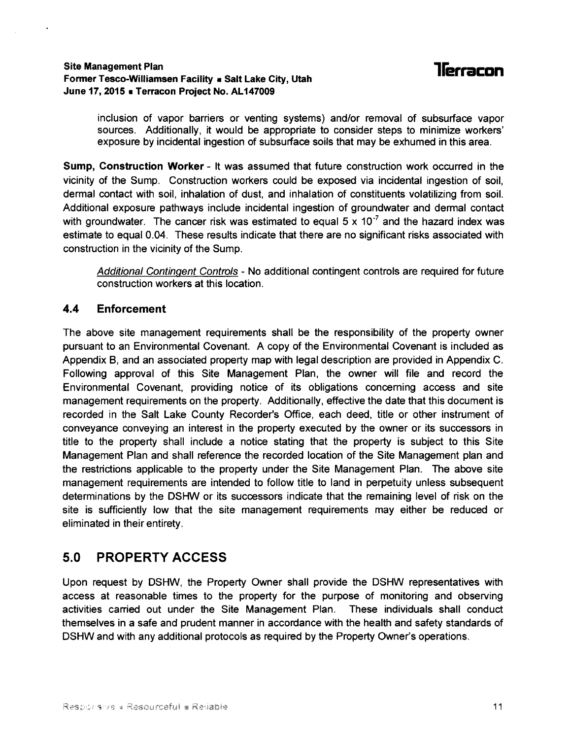#### Site Management Plan Former Tesco-Williamsen Facility . Salt Lake City, Utah June 17, 2015 . Terracon Project No. AL147009

### **llerracon**

inclusion of vapor barriers or venting systems) and/or removal of subsurface vapor sources. Additionally, it would be appropriate to consider steps to minimize workers' exposure by incidental ingestion of subsurface soils that may be exhumed in this area.

Sump, Construction Worker - lt was assumed that future construction work occurred in the vicinity of the Sump. Construction workers could be exposed via incidental ingestion of soil, dermal contact with soil, inhalation of dust, and inhalation of constituents volatilizing from soil. Additional exposure pathways include incidental ingestion of groundwater and dermal contact with groundwater. The cancer risk was estimated to equal 5 x 10<sup>-7</sup> and the hazard index was estimate to equal 0.04. These results indicate that there are no significant risks associated with construction in the vicinity of the Sump.

Additional Continqent Controls - No additional contingent controls are required for future construction workers at this location.

#### 4.4 Enforcement

The above site management requirements shall be the responsibility of the property owner pursuant to an Environmental Covenant. A copy of the Environmental Covenant is included as Appendix B, and an associated property map with legal description are provided in Appendix C. Following approval of this Site Management Plan, the owner will file and record the Environmental Covenant, providing notice of its obligations concerning access and site management requirements on the property. Additionally, effective the date that this document is recorded in the Salt Lake County Recorder's Office, each deed, title or other instrument of conveyance conveying an interest in the property executed by the owner or its successors in title to the property shall include a notice stating that the property is subject to this Site Management Plan and shall reference the recorded location of the Site Management plan and the restrictions applicable to the property under the Site Management Plan. The above site management requirements are intended to follow title to land in perpetuity unless subsequent determinations by the DSHW or its successors indicate that the remaining level of risk on the site is sufficiently low that the site management requirements may either be reduced or eliminated in their entirety.

#### 5.0 PROPERTY ACCESS

Upon request by DSHW, the Property Owner shall provide the DSHW representatives with access at reasonable times to the property for the purpose of monitoring and observing activities canied out under the Site Management Plan. These individuals shall conduct themselves in a safe and prudent manner in accordance with the health and safety standards of DSHW and with any additional protocols as required by the Property Owner's operations.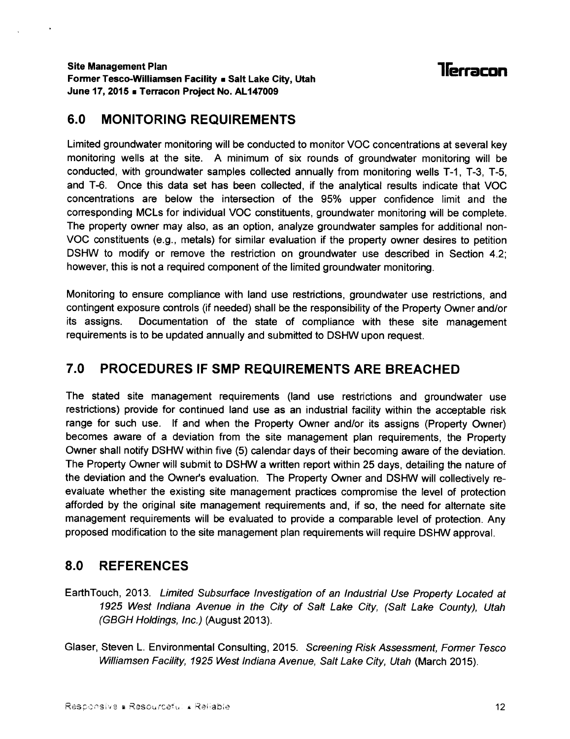### llerracon

#### 6.0 MONITORING REQUIREMENTS

Limited groundwater monitoring will be conducted to monitor VOC concentrations at several key monitoring wells at the site. A minimum of six rounds of groundwater monitoring will be conducted, with groundwater samples collected annually from monitoring wells T-1, T-3, T-5, and T-6. Once this data set has been collected, if the analytical results indicate that VOC concentrations are below the intersection of the 95% upper confidence limit and the corresponding MCLs for individual VOC constituents, groundwater monitoring will be complete. The property owner may also, as an option, analyze groundwater samples for additional non-VOC constituents (e.9., metals) for similar evaluation if the property owner desires to petition DSHW to modify or remove the restriction on groundwater use described in Section 4.2; however, this is not a required component of the limited groundwater monitoring.

Monitoring to ensure compliance with land use restrictions, groundwater use restrictions, and contingent exposure controls (if needed) shall be the responsibility of the Property Owner and/or its assigns. Documentation of the state of compliance with these site management requirements is to be updated annually and submitted to DSHW upon request.

#### 7.0 PROCEDURES IF SMP REQUIREMENTS ARE BREACHED

The stated site management requirements (land use restrictions and groundwater use restrictions) provide for continued land use as an industrial facility within the acceptable risk range for such use. lf and when the Property Owner and/or its assigns (Property Owner) becomes aware of a deviation from the site management plan requirements, the Property Owner shall notify DSHW within five (5) calendar days of their becoming aware of the deviation. The Property Owner will submit to DSHW a written report within 25 days, detailing the nature of the deviation and the Owner's evaluation. The Property Owner and DSHW will collectively reevaluate whether the existing site management practices compromise the level of protection afforded by the original site management requirements and, if so, the need for alternate site management requirements will be evaluated to provide a comparable level of protection. Any proposed modification to the site management plan requirements will require DSHW approval.

#### 8.0 REFERENCES

- EarthTouch, 2013. Limited Subsufface Investigation of an lndustrial Use Property Located at 1925 West lndiana Avenue in the City of Saft Lake City, (Salt Lake County), IJtah (GBGH Holdings, /nc.) (August 2013).
- Glaser, Steven L. Environmental Consulting, 2015. Screening Risk Assessment, Former Tesco Williamsen Facility, 1925 West Indiana Avenue, Salt Lake City, Utah (March 2015).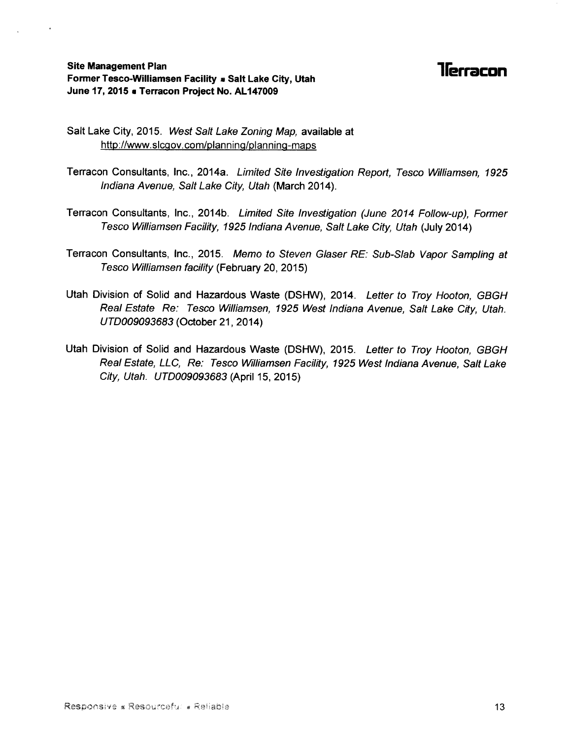#### Site Management Plan Former Tesco-Williamsen Facility » Salt Lake City, Utah June 17, 2015 a Terracon Project No. AL147009

### **1** Terracon

Salt Lake City, 2015. West Salt Lake Zoning Map, available at http://www.slcgov.com/planning/planning-maps

- Tenacon Consultants, Inc., 2014a. Limited Site lnvestigation Report, Iesco Williamsen, 1925 lndiana Avenue, Salt Lake City, Utah (March 2014).
- Terracon Consultants, Inc., 2014b. Limited Site Investigation (June 2014 Follow-up), Former Iesco Williamsen Facility, 1925 lndiana Avenue, Salt Lake City, Utah (July 201a)
- Terracon Consultants, Inc., 2015. Memo to Steven Glaser RE: Sub-Slab Vapor Sampling at Iesco Williamsen facility (February 20,2015)
- Utah Division of Solid and Hazardous Waste (DSHW), 2014. Letter to Troy Hooton, GBGH Real Estate Re: Tesco Williamsen, 1925 West Indiana Avenue, Salt Lake City, Utah. UTD009093683 (October 21, 2014)
- Utah Division of Solid and Hazardous Waste (DSHW), 2015. Letter to Troy Hooton, GBGH Real Estate, LLC, Re: Tesco Williamsen Facility, 1925 West Indiana Avenue, Salt Lake City, Utah. UTD009093683 (April 15, 2015)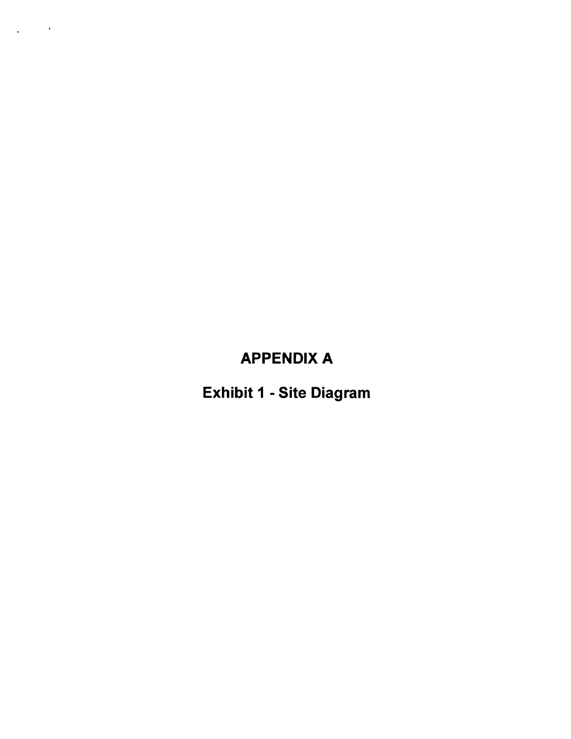### APPENDIX A

 $\mathcal{L}^{\text{max}}_{\text{max}}$  ,  $\mathcal{L}^{\text{max}}_{\text{max}}$ 

 $\mathcal{A}$ 

Exhibit 1 - Site Diagram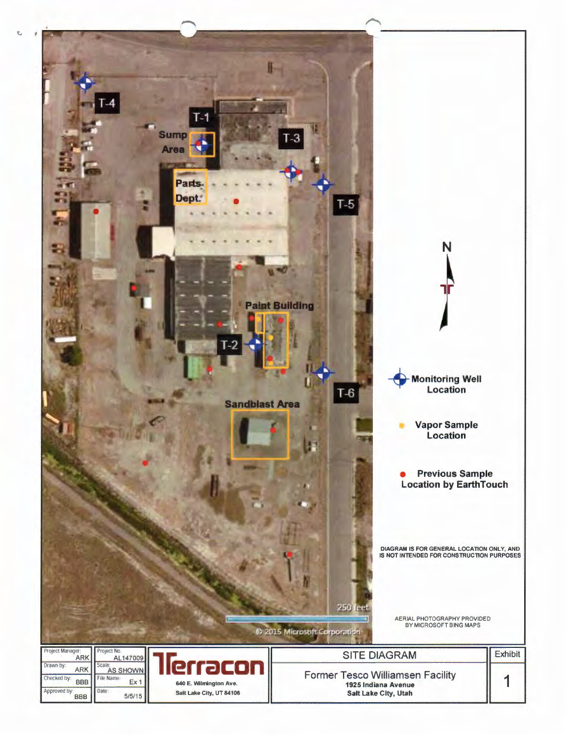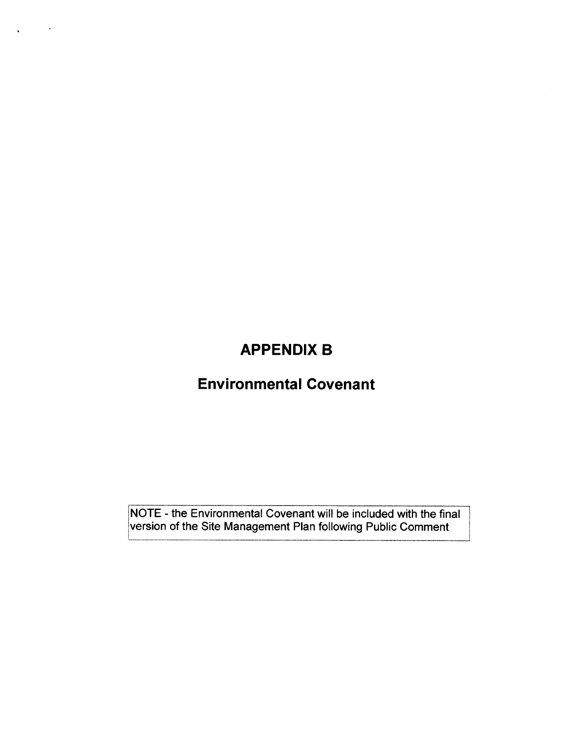### APPENDIX B

 $\mathcal{L}^{\text{max}}_{\text{max}}$ 

 $\mathbf{v}^{\prime}$ 

### Environmental Govenant

NOTE - the Environmental Covenant will be included with the final lversion of the Site Management Plan following Public Comment